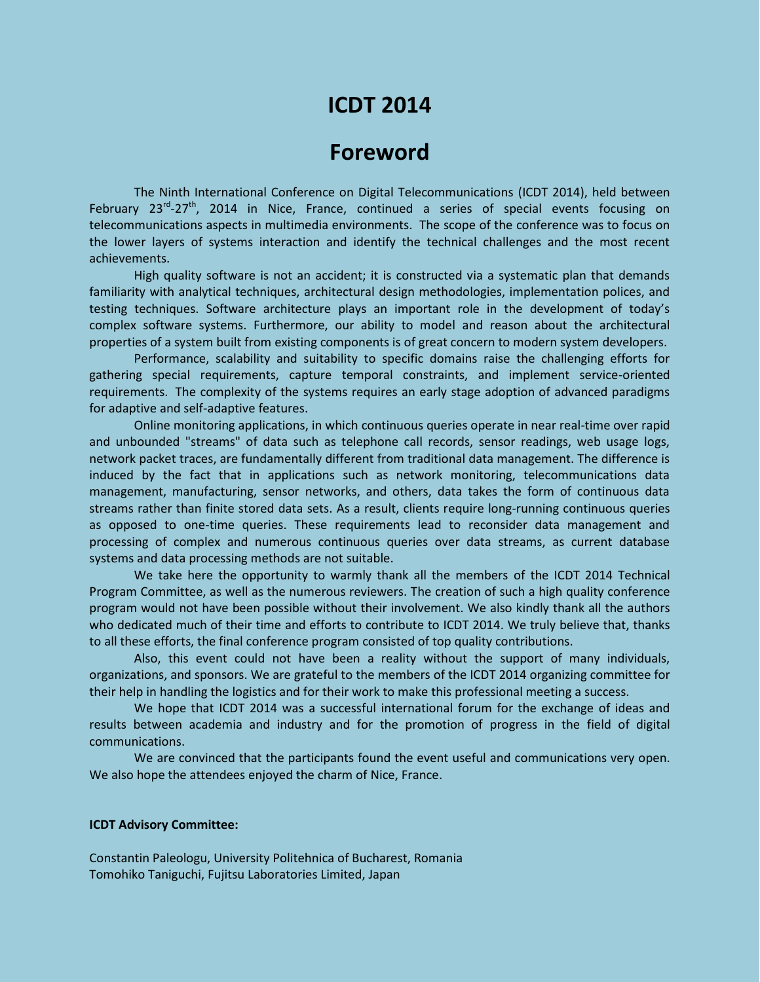## **ICDT 2014**

## **Foreword**

The Ninth International Conference on Digital Telecommunications (ICDT 2014), held between February 23<sup>rd</sup>-27<sup>th</sup>, 2014 in Nice, France, continued a series of special events focusing on telecommunications aspects in multimedia environments. The scope of the conference was to focus on the lower layers of systems interaction and identify the technical challenges and the most recent achievements.

High quality software is not an accident; it is constructed via a systematic plan that demands familiarity with analytical techniques, architectural design methodologies, implementation polices, and testing techniques. Software architecture plays an important role in the development of today's complex software systems. Furthermore, our ability to model and reason about the architectural properties of a system built from existing components is of great concern to modern system developers.

Performance, scalability and suitability to specific domains raise the challenging efforts for gathering special requirements, capture temporal constraints, and implement service-oriented requirements. The complexity of the systems requires an early stage adoption of advanced paradigms for adaptive and self-adaptive features.

Online monitoring applications, in which continuous queries operate in near real-time over rapid and unbounded "streams" of data such as telephone call records, sensor readings, web usage logs, network packet traces, are fundamentally different from traditional data management. The difference is induced by the fact that in applications such as network monitoring, telecommunications data management, manufacturing, sensor networks, and others, data takes the form of continuous data streams rather than finite stored data sets. As a result, clients require long-running continuous queries as opposed to one-time queries. These requirements lead to reconsider data management and processing of complex and numerous continuous queries over data streams, as current database systems and data processing methods are not suitable.

We take here the opportunity to warmly thank all the members of the ICDT 2014 Technical Program Committee, as well as the numerous reviewers. The creation of such a high quality conference program would not have been possible without their involvement. We also kindly thank all the authors who dedicated much of their time and efforts to contribute to ICDT 2014. We truly believe that, thanks to all these efforts, the final conference program consisted of top quality contributions.

Also, this event could not have been a reality without the support of many individuals, organizations, and sponsors. We are grateful to the members of the ICDT 2014 organizing committee for their help in handling the logistics and for their work to make this professional meeting a success.

We hope that ICDT 2014 was a successful international forum for the exchange of ideas and results between academia and industry and for the promotion of progress in the field of digital communications.

We are convinced that the participants found the event useful and communications very open. We also hope the attendees enjoyed the charm of Nice, France.

## **ICDT Advisory Committee:**

Constantin Paleologu, University Politehnica of Bucharest, Romania Tomohiko Taniguchi, Fujitsu Laboratories Limited, Japan